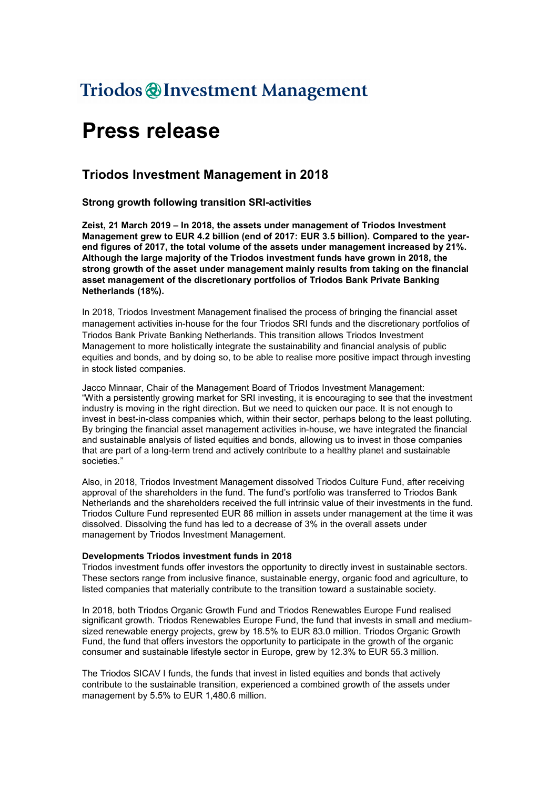## Triodos @Investment Management

# Press release

### Triodos Investment Management in 2018

Strong growth following transition SRI-activities

Zeist, 21 March 2019 – In 2018, the assets under management of Triodos Investment Management grew to EUR 4.2 billion (end of 2017: EUR 3.5 billion). Compared to the yearend figures of 2017, the total volume of the assets under management increased by 21%. Although the large majority of the Triodos investment funds have grown in 2018, the strong growth of the asset under management mainly results from taking on the financial asset management of the discretionary portfolios of Triodos Bank Private Banking Netherlands (18%).

In 2018, Triodos Investment Management finalised the process of bringing the financial asset management activities in-house for the four Triodos SRI funds and the discretionary portfolios of Triodos Bank Private Banking Netherlands. This transition allows Triodos Investment Management to more holistically integrate the sustainability and financial analysis of public equities and bonds, and by doing so, to be able to realise more positive impact through investing in stock listed companies.

Jacco Minnaar, Chair of the Management Board of Triodos Investment Management: "With a persistently growing market for SRI investing, it is encouraging to see that the investment industry is moving in the right direction. But we need to quicken our pace. It is not enough to invest in best-in-class companies which, within their sector, perhaps belong to the least polluting. By bringing the financial asset management activities in-house, we have integrated the financial and sustainable analysis of listed equities and bonds, allowing us to invest in those companies that are part of a long-term trend and actively contribute to a healthy planet and sustainable societies."

Also, in 2018, Triodos Investment Management dissolved Triodos Culture Fund, after receiving approval of the shareholders in the fund. The fund's portfolio was transferred to Triodos Bank Netherlands and the shareholders received the full intrinsic value of their investments in the fund. Triodos Culture Fund represented EUR 86 million in assets under management at the time it was dissolved. Dissolving the fund has led to a decrease of 3% in the overall assets under management by Triodos Investment Management.

#### Developments Triodos investment funds in 2018

Triodos investment funds offer investors the opportunity to directly invest in sustainable sectors. These sectors range from inclusive finance, sustainable energy, organic food and agriculture, to listed companies that materially contribute to the transition toward a sustainable society.

In 2018, both Triodos Organic Growth Fund and Triodos Renewables Europe Fund realised significant growth. Triodos Renewables Europe Fund, the fund that invests in small and mediumsized renewable energy projects, grew by 18.5% to EUR 83.0 million. Triodos Organic Growth Fund, the fund that offers investors the opportunity to participate in the growth of the organic consumer and sustainable lifestyle sector in Europe, grew by 12.3% to EUR 55.3 million.

The Triodos SICAV I funds, the funds that invest in listed equities and bonds that actively contribute to the sustainable transition, experienced a combined growth of the assets under management by 5.5% to EUR 1,480.6 million.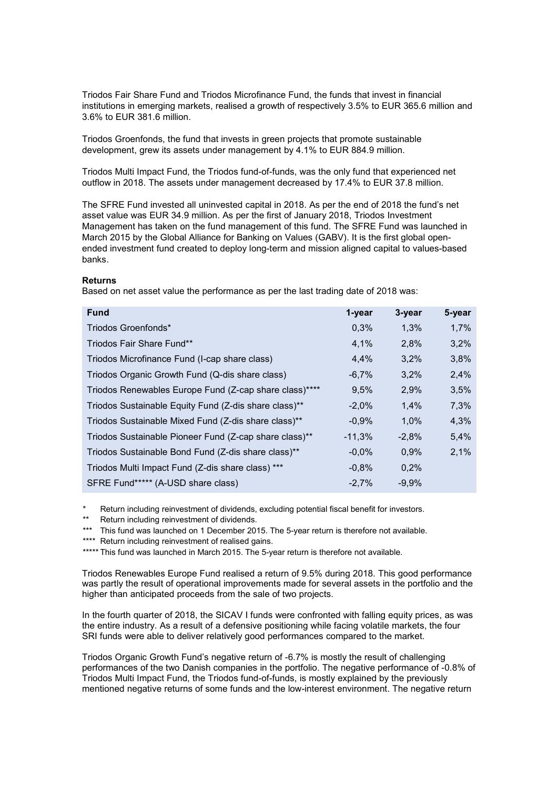Triodos Fair Share Fund and Triodos Microfinance Fund, the funds that invest in financial institutions in emerging markets, realised a growth of respectively 3.5% to EUR 365.6 million and 3.6% to EUR 381.6 million.

Triodos Groenfonds, the fund that invests in green projects that promote sustainable development, grew its assets under management by 4.1% to EUR 884.9 million.

Triodos Multi Impact Fund, the Triodos fund-of-funds, was the only fund that experienced net outflow in 2018. The assets under management decreased by 17.4% to EUR 37.8 million.

The SFRE Fund invested all uninvested capital in 2018. As per the end of 2018 the fund's net asset value was EUR 34.9 million. As per the first of January 2018, Triodos Investment Management has taken on the fund management of this fund. The SFRE Fund was launched in March 2015 by the Global Alliance for Banking on Values (GABV). It is the first global openended investment fund created to deploy long-term and mission aligned capital to values-based banks.

#### Returns

Based on net asset value the performance as per the last trading date of 2018 was:

| <b>Fund</b>                                            | 1-year   | 3-year  | 5-year |
|--------------------------------------------------------|----------|---------|--------|
| Triodos Groenfonds*                                    | 0,3%     | 1,3%    | 1,7%   |
| Triodos Fair Share Fund**                              | 4,1%     | 2,8%    | 3,2%   |
| Triodos Microfinance Fund (I-cap share class)          | 4.4%     | 3,2%    | 3,8%   |
| Triodos Organic Growth Fund (Q-dis share class)        | $-6,7%$  | 3,2%    | 2,4%   |
| Triodos Renewables Europe Fund (Z-cap share class)**** | 9,5%     | 2,9%    | 3,5%   |
| Triodos Sustainable Equity Fund (Z-dis share class)**  | $-2.0\%$ | 1,4%    | 7,3%   |
| Triodos Sustainable Mixed Fund (Z-dis share class)**   | $-0.9%$  | 1,0%    | 4,3%   |
| Triodos Sustainable Pioneer Fund (Z-cap share class)** | $-11,3%$ | $-2,8%$ | 5,4%   |
| Triodos Sustainable Bond Fund (Z-dis share class)**    | $-0.0%$  | 0,9%    | 2,1%   |
| Triodos Multi Impact Fund (Z-dis share class) ***      | $-0,8%$  | 0,2%    |        |
| SFRE Fund***** (A-USD share class)                     | $-2.7\%$ | $-9.9%$ |        |

Return including reinvestment of dividends, excluding potential fiscal benefit for investors.

- \*\* Return including reinvestment of dividends.
- \*\*\* This fund was launched on 1 December 2015. The 5-year return is therefore not available.
- \*\*\*\* Return including reinvestment of realised gains.

\*\*\*\*\* This fund was launched in March 2015. The 5-year return is therefore not available.

Triodos Renewables Europe Fund realised a return of 9.5% during 2018. This good performance was partly the result of operational improvements made for several assets in the portfolio and the higher than anticipated proceeds from the sale of two projects.

In the fourth quarter of 2018, the SICAV I funds were confronted with falling equity prices, as was the entire industry. As a result of a defensive positioning while facing volatile markets, the four SRI funds were able to deliver relatively good performances compared to the market.

Triodos Organic Growth Fund's negative return of -6.7% is mostly the result of challenging performances of the two Danish companies in the portfolio. The negative performance of -0.8% of Triodos Multi Impact Fund, the Triodos fund-of-funds, is mostly explained by the previously mentioned negative returns of some funds and the low-interest environment. The negative return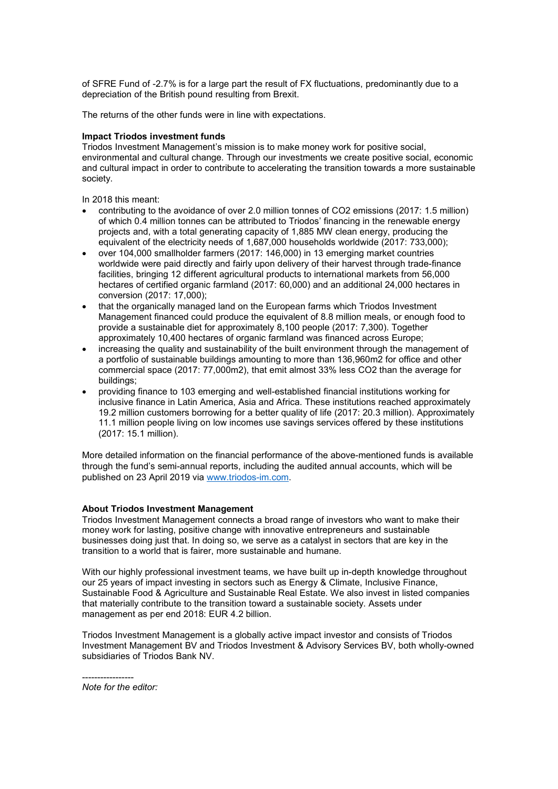of SFRE Fund of -2.7% is for a large part the result of FX fluctuations, predominantly due to a depreciation of the British pound resulting from Brexit.

The returns of the other funds were in line with expectations.

#### Impact Triodos investment funds

Triodos Investment Management's mission is to make money work for positive social, environmental and cultural change. Through our investments we create positive social, economic and cultural impact in order to contribute to accelerating the transition towards a more sustainable society.

In 2018 this meant:

- contributing to the avoidance of over 2.0 million tonnes of CO2 emissions (2017: 1.5 million) of which 0.4 million tonnes can be attributed to Triodos' financing in the renewable energy projects and, with a total generating capacity of 1,885 MW clean energy, producing the equivalent of the electricity needs of 1,687,000 households worldwide (2017: 733,000);
- over 104,000 smallholder farmers (2017: 146,000) in 13 emerging market countries worldwide were paid directly and fairly upon delivery of their harvest through trade-finance facilities, bringing 12 different agricultural products to international markets from 56,000 hectares of certified organic farmland (2017: 60,000) and an additional 24,000 hectares in conversion (2017: 17,000);
- that the organically managed land on the European farms which Triodos Investment Management financed could produce the equivalent of 8.8 million meals, or enough food to provide a sustainable diet for approximately 8,100 people (2017: 7,300). Together approximately 10,400 hectares of organic farmland was financed across Europe;
- increasing the quality and sustainability of the built environment through the management of a portfolio of sustainable buildings amounting to more than 136,960m2 for office and other commercial space (2017: 77,000m2), that emit almost 33% less CO2 than the average for buildings;
- providing finance to 103 emerging and well-established financial institutions working for inclusive finance in Latin America, Asia and Africa. These institutions reached approximately 19.2 million customers borrowing for a better quality of life (2017: 20.3 million). Approximately 11.1 million people living on low incomes use savings services offered by these institutions (2017: 15.1 million).

More detailed information on the financial performance of the above-mentioned funds is available through the fund's semi-annual reports, including the audited annual accounts, which will be published on 23 April 2019 via www.triodos-im.com.

#### About Triodos Investment Management

Triodos Investment Management connects a broad range of investors who want to make their money work for lasting, positive change with innovative entrepreneurs and sustainable businesses doing just that. In doing so, we serve as a catalyst in sectors that are key in the transition to a world that is fairer, more sustainable and humane.

With our highly professional investment teams, we have built up in-depth knowledge throughout our 25 years of impact investing in sectors such as Energy & Climate, Inclusive Finance, Sustainable Food & Agriculture and Sustainable Real Estate. We also invest in listed companies that materially contribute to the transition toward a sustainable society. Assets under management as per end 2018: EUR 4.2 billion.

Triodos Investment Management is a globally active impact investor and consists of Triodos Investment Management BV and Triodos Investment & Advisory Services BV, both wholly-owned subsidiaries of Triodos Bank NV.

<sup>-----------------</sup> *Note for the editor:*